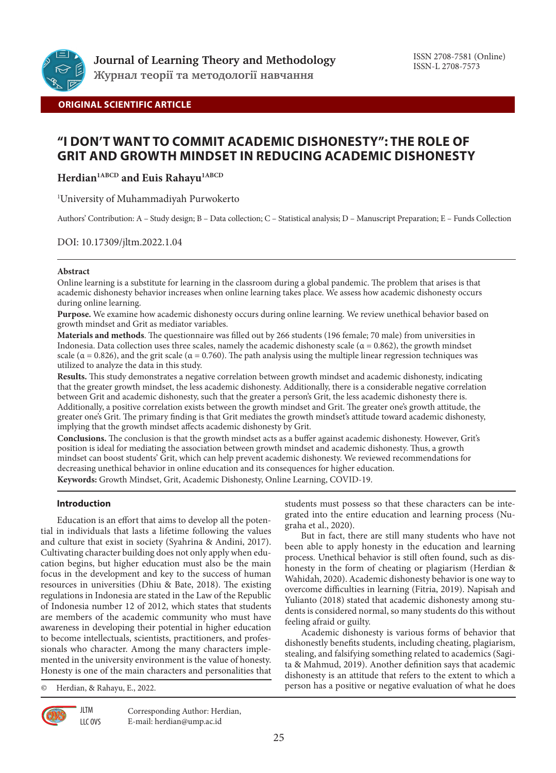

**ORIGINAL SCIENTIFIC ARTICLE**

# **"I DON'T WANT TO COMMIT ACADEMIC DISHONESTY": THE ROLE OF GRIT AND GROWTH MINDSET IN REDUCING ACADEMIC DISHONESTY**

Herdian<sup>1ABCD</sup> and Euis Rahayu<sup>1ABCD</sup>

1 University of Muhammadiyah Purwokerto

Authors' Contribution: A – Study design; B – Data collection; C – Statistical analysis; D – Manuscript Preparation; E – Funds Collection

DOI: 10.17309/jltm.2022.1.04

# **Abstract**

Online learning is a substitute for learning in the classroom during a global pandemic. The problem that arises is that academic dishonesty behavior increases when online learning takes place. We assess how academic dishonesty occurs during online learning.

**Purpose.** We examine how academic dishonesty occurs during online learning. We review unethical behavior based on growth mindset and Grit as mediator variables.

**Materials and methods**. The questionnaire was filled out by 266 students (196 female; 70 male) from universities in Indonesia. Data collection uses three scales, namely the academic dishonesty scale ( $α = 0.862$ ), the growth mindset scale ( $\alpha$  = 0.826), and the grit scale ( $\alpha$  = 0.760). The path analysis using the multiple linear regression techniques was utilized to analyze the data in this study.

**Results.** This study demonstrates a negative correlation between growth mindset and academic dishonesty, indicating that the greater growth mindset, the less academic dishonesty. Additionally, there is a considerable negative correlation between Grit and academic dishonesty, such that the greater a person's Grit, the less academic dishonesty there is. Additionally, a positive correlation exists between the growth mindset and Grit. The greater one's growth attitude, the greater one's Grit. The primary finding is that Grit mediates the growth mindset's attitude toward academic dishonesty, implying that the growth mindset affects academic dishonesty by Grit.

**Conclusions.** The conclusion is that the growth mindset acts as a buffer against academic dishonesty. However, Grit's position is ideal for mediating the association between growth mindset and academic dishonesty. Thus, a growth mindset can boost students' Grit, which can help prevent academic dishonesty. We reviewed recommendations for decreasing unethical behavior in online education and its consequences for higher education. **Keywords:** Growth Mindset, Grit, Academic Dishonesty, Online Learning, COVID-19.

**Introduction**

Education is an effort that aims to develop all the potential in individuals that lasts a lifetime following the values and culture that exist in society (Syahrina & Andini, 2017). Cultivating character building does not only apply when education begins, but higher education must also be the main focus in the development and key to the success of human resources in universities (Dhiu & Bate, 2018). The existing regulations in Indonesia are stated in the Law of the Republic of Indonesia number 12 of 2012, which states that students are members of the academic community who must have awareness in developing their potential in higher education to become intellectuals, scientists, practitioners, and professionals who character. Among the many characters implemented in the university environment is the value of honesty. Honesty is one of the main characters and personalities that

© Herdian, & Rahayu, E., 2022.

**JLTM** LLC OVS

Corresponding Author: Herdian, E-mail: herdian@ump.ac.id

students must possess so that these characters can be integrated into the entire education and learning process (Nugraha et al., 2020).

But in fact, there are still many students who have not been able to apply honesty in the education and learning process. Unethical behavior is still often found, such as dishonesty in the form of cheating or plagiarism (Herdian & Wahidah, 2020). Academic dishonesty behavior is one way to overcome difficulties in learning (Fitria, 2019). Napisah and Yulianto (2018) stated that academic dishonesty among students is considered normal, so many students do this without feeling afraid or guilty.

Academic dishonesty is various forms of behavior that dishonestly benefits students, including cheating, plagiarism, stealing, and falsifying something related to academics (Sagita & Mahmud, 2019). Another definition says that academic dishonesty is an attitude that refers to the extent to which a person has a positive or negative evaluation of what he does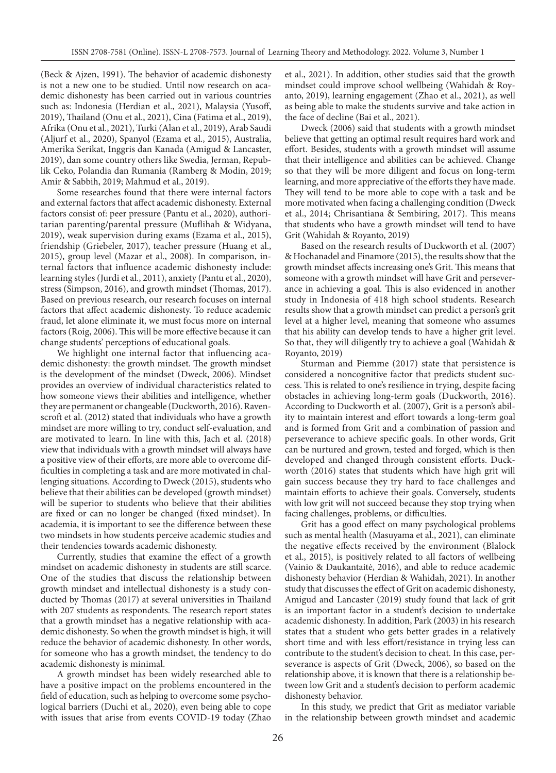(Beck & Ajzen, 1991). The behavior of academic dishonesty is not a new one to be studied. Until now research on academic dishonesty has been carried out in various countries such as: Indonesia (Herdian et al., 2021), Malaysia (Yusoff, 2019), Thailand (Onu et al., 2021), Cina (Fatima et al., 2019), Afrika (Onu et al., 2021), Turki (Alan et al., 2019), Arab Saudi (Aljurf et al., 2020), Spanyol (Ezama et al., 2015), Australia, Amerika Serikat, Inggris dan Kanada (Amigud & Lancaster, 2019), dan some country others like Swedia, Jerman, Republik Ceko, Polandia dan Rumania (Ramberg & Modin, 2019; Amir & Sabbih, 2019; Mahmud et al., 2019).

Some researches found that there were internal factors and external factors that affect academic dishonesty. External factors consist of: peer pressure (Pantu et al., 2020), authoritarian parenting/parental pressure (Muflihah & Widyana, 2019), weak supervision during exams (Ezama et al., 2015), friendship (Griebeler, 2017), teacher pressure (Huang et al., 2015), group level (Mazar et al., 2008). In comparison, internal factors that influence academic dishonesty include: learning styles (Jurdi et al., 2011), anxiety (Pantu et al., 2020), stress (Simpson, 2016), and growth mindset (Thomas, 2017). Based on previous research, our research focuses on internal factors that affect academic dishonesty. To reduce academic fraud, let alone eliminate it, we must focus more on internal factors (Roig, 2006). This will be more effective because it can change students' perceptions of educational goals.

We highlight one internal factor that influencing academic dishonesty: the growth mindset. The growth mindset is the development of the mindset (Dweck, 2006). Mindset provides an overview of individual characteristics related to how someone views their abilities and intelligence, whether they are permanent or changeable (Duckworth, 2016). Ravenscroft et al. (2012) stated that individuals who have a growth mindset are more willing to try, conduct self-evaluation, and are motivated to learn. In line with this, Jach et al. (2018) view that individuals with a growth mindset will always have a positive view of their efforts, are more able to overcome difficulties in completing a task and are more motivated in challenging situations. According to Dweck (2015), students who believe that their abilities can be developed (growth mindset) will be superior to students who believe that their abilities are fixed or can no longer be changed (fixed mindset). In academia, it is important to see the difference between these two mindsets in how students perceive academic studies and their tendencies towards academic dishonesty.

Currently, studies that examine the effect of a growth mindset on academic dishonesty in students are still scarce. One of the studies that discuss the relationship between growth mindset and intellectual dishonesty is a study conducted by Thomas (2017) at several universities in Thailand with 207 students as respondents. The research report states that a growth mindset has a negative relationship with academic dishonesty. So when the growth mindset is high, it will reduce the behavior of academic dishonesty. In other words, for someone who has a growth mindset, the tendency to do academic dishonesty is minimal.

A growth mindset has been widely researched able to have a positive impact on the problems encountered in the field of education, such as helping to overcome some psychological barriers (Duchi et al., 2020), even being able to cope with issues that arise from events COVID-19 today (Zhao et al., 2021). In addition, other studies said that the growth mindset could improve school wellbeing (Wahidah & Royanto, 2019), learning engagement (Zhao et al., 2021), as well as being able to make the students survive and take action in the face of decline (Bai et al., 2021).

Dweck (2006) said that students with a growth mindset believe that getting an optimal result requires hard work and effort. Besides, students with a growth mindset will assume that their intelligence and abilities can be achieved. Change so that they will be more diligent and focus on long-term learning, and more appreciative of the efforts they have made. They will tend to be more able to cope with a task and be more motivated when facing a challenging condition (Dweck et al., 2014; Chrisantiana & Sembiring, 2017). This means that students who have a growth mindset will tend to have Grit (Wahidah & Royanto, 2019)

Based on the research results of Duckworth et al. (2007) & Hochanadel and Finamore (2015), the results show that the growth mindset affects increasing one's Grit. This means that someone with a growth mindset will have Grit and perseverance in achieving a goal. This is also evidenced in another study in Indonesia of 418 high school students. Research results show that a growth mindset can predict a person's grit level at a higher level, meaning that someone who assumes that his ability can develop tends to have a higher grit level. So that, they will diligently try to achieve a goal (Wahidah & Royanto, 2019)

Sturman and Piemme (2017) state that persistence is considered a noncognitive factor that predicts student success. This is related to one's resilience in trying, despite facing obstacles in achieving long-term goals (Duckworth, 2016). According to Duckworth et al. (2007), Grit is a person's ability to maintain interest and effort towards a long-term goal and is formed from Grit and a combination of passion and perseverance to achieve specific goals. In other words, Grit can be nurtured and grown, tested and forged, which is then developed and changed through consistent efforts. Duckworth (2016) states that students which have high grit will gain success because they try hard to face challenges and maintain efforts to achieve their goals. Conversely, students with low grit will not succeed because they stop trying when facing challenges, problems, or difficulties.

Grit has a good effect on many psychological problems such as mental health (Masuyama et al., 2021), can eliminate the negative effects received by the environment (Blalock et al., 2015), is positively related to all factors of wellbeing (Vainio & Daukantaitė, 2016), and able to reduce academic dishonesty behavior (Herdian & Wahidah, 2021). In another study that discusses the effect of Grit on academic dishonesty, Amigud and Lancaster (2019) study found that lack of grit is an important factor in a student's decision to undertake academic dishonesty. In addition, Park (2003) in his research states that a student who gets better grades in a relatively short time and with less effort/resistance in trying less can contribute to the student's decision to cheat. In this case, perseverance is aspects of Grit (Dweck, 2006), so based on the relationship above, it is known that there is a relationship between low Grit and a student's decision to perform academic dishonesty behavior.

In this study, we predict that Grit as mediator variable in the relationship between growth mindset and academic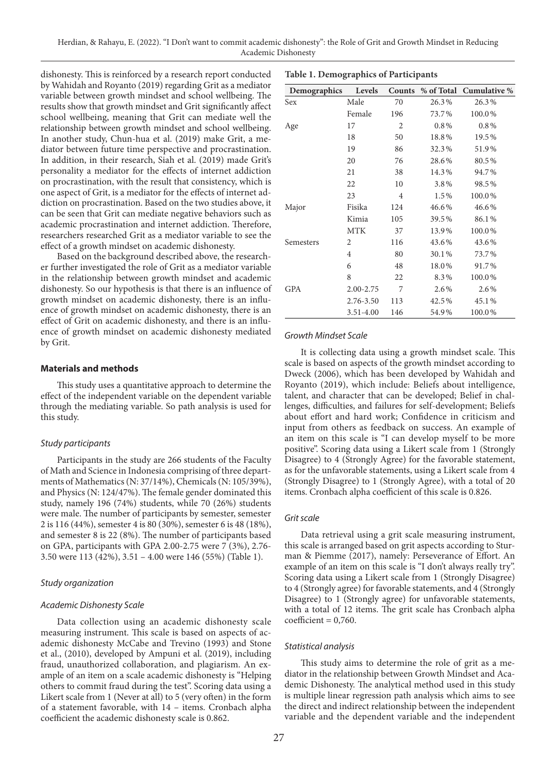dishonesty. This is reinforced by a research report conducted by Wahidah and Royanto (2019) regarding Grit as a mediator variable between growth mindset and school wellbeing. The results show that growth mindset and Grit significantly affect school wellbeing, meaning that Grit can mediate well the relationship between growth mindset and school wellbeing. In another study, Chun-hua et al. (2019) make Grit, a mediator between future time perspective and procrastination. In addition, in their research, Siah et al. (2019) made Grit's personality a mediator for the effects of internet addiction on procrastination, with the result that consistency, which is one aspect of Grit, is a mediator for the effects of internet addiction on procrastination. Based on the two studies above, it can be seen that Grit can mediate negative behaviors such as academic procrastination and internet addiction. Therefore, researchers researched Grit as a mediator variable to see the effect of a growth mindset on academic dishonesty.

Based on the background described above, the researcher further investigated the role of Grit as a mediator variable in the relationship between growth mindset and academic dishonesty. So our hypothesis is that there is an influence of growth mindset on academic dishonesty, there is an influence of growth mindset on academic dishonesty, there is an effect of Grit on academic dishonesty, and there is an influence of growth mindset on academic dishonesty mediated by Grit.

### **Materials and methods**

This study uses a quantitative approach to determine the effect of the independent variable on the dependent variable through the mediating variable. So path analysis is used for this study.

## *Study participants*

Participants in the study are 266 students of the Faculty of Math and Science in Indonesia comprising of three departments of Mathematics (N: 37/14%), Chemicals (N: 105/39%), and Physics (N: 124/47%). The female gender dominated this study, namely 196 (74%) students, while 70 (26%) students were male. The number of participants by semester, semester 2 is 116 (44%), semester 4 is 80 (30%), semester 6 is 48 (18%), and semester 8 is 22 (8%). The number of participants based on GPA, participants with GPA 2.00-2.75 were 7 (3%), 2.76- 3.50 were 113 (42%), 3.51 – 4.00 were 146 (55%) (Table 1).

#### *Study organization*

#### *Academic Dishonesty Scale*

Data collection using an academic dishonesty scale measuring instrument. This scale is based on aspects of academic dishonesty McCabe and Trevino (1993) and Stone et al., (2010), developed by Ampuni et al. (2019), including fraud, unauthorized collaboration, and plagiarism. An example of an item on a scale academic dishonesty is "Helping others to commit fraud during the test". Scoring data using a Likert scale from 1 (Never at all) to 5 (very often) in the form of a statement favorable, with 14 – items. Cronbach alpha coefficient the academic dishonesty scale is 0.862.

| Demographics | Levels         | Counts         | % of Total | Cumulative % |
|--------------|----------------|----------------|------------|--------------|
| Sex          | Male           | 70             | 26.3%      | 26.3%        |
|              | Female         | 196            | 73.7%      | 100.0%       |
| Age          | 17             | $\overline{2}$ | $0.8\%$    | $0.8\%$      |
|              | 18             | 50             | 18.8%      | 19.5%        |
|              | 19             | 86             | 32.3%      | 51.9%        |
|              | 20             | 76             | 28.6%      | 80.5%        |
|              | 21             | 38             | 14.3%      | 94.7%        |
|              | 22             | 10             | 3.8%       | 98.5%        |
|              | 23             | $\overline{4}$ | 1.5%       | 100.0%       |
| Major        | Fisika         | 124            | 46.6%      | 46.6%        |
|              | Kimia          | 105            | 39.5%      | 86.1%        |
|              | <b>MTK</b>     | 37             | 13.9%      | 100.0%       |
| Semesters    | $\overline{2}$ | 116            | 43.6%      | 43.6%        |
|              | 4              | 80             | 30.1%      | 73.7%        |
|              | 6              | 48             | 18.0%      | 91.7%        |
|              | 8              | 22             | 8.3%       | 100.0%       |
| <b>GPA</b>   | 2.00-2.75      | 7              | 2.6%       | 2.6%         |
|              | 2.76-3.50      | 113            | 42.5%      | 45.1%        |
|              | 3.51-4.00      | 146            | 54.9%      | 100.0%       |

## *Growth Mindset Scale*

It is collecting data using a growth mindset scale. This scale is based on aspects of the growth mindset according to Dweck (2006), which has been developed by Wahidah and Royanto (2019), which include: Beliefs about intelligence, talent, and character that can be developed; Belief in challenges, difficulties, and failures for self-development; Beliefs about effort and hard work; Confidence in criticism and input from others as feedback on success. An example of an item on this scale is "I can develop myself to be more positive". Scoring data using a Likert scale from 1 (Strongly Disagree) to 4 (Strongly Agree) for the favorable statement, as for the unfavorable statements, using a Likert scale from 4 (Strongly Disagree) to 1 (Strongly Agree), with a total of 20 items. Cronbach alpha coefficient of this scale is 0.826.

## *Grit scale*

Data retrieval using a grit scale measuring instrument, this scale is arranged based on grit aspects according to Sturman & Piemme (2017), namely: Perseverance of Effort. An example of an item on this scale is "I don't always really try". Scoring data using a Likert scale from 1 (Strongly Disagree) to 4 (Strongly agree) for favorable statements, and 4 (Strongly Disagree) to 1 (Strongly agree) for unfavorable statements, with a total of 12 items. The grit scale has Cronbach alpha  $coefficient = 0,760.$ 

#### *Statistical analysis*

This study aims to determine the role of grit as a mediator in the relationship between Growth Mindset and Academic Dishonesty. The analytical method used in this study is multiple linear regression path analysis which aims to see the direct and indirect relationship between the independent variable and the dependent variable and the independent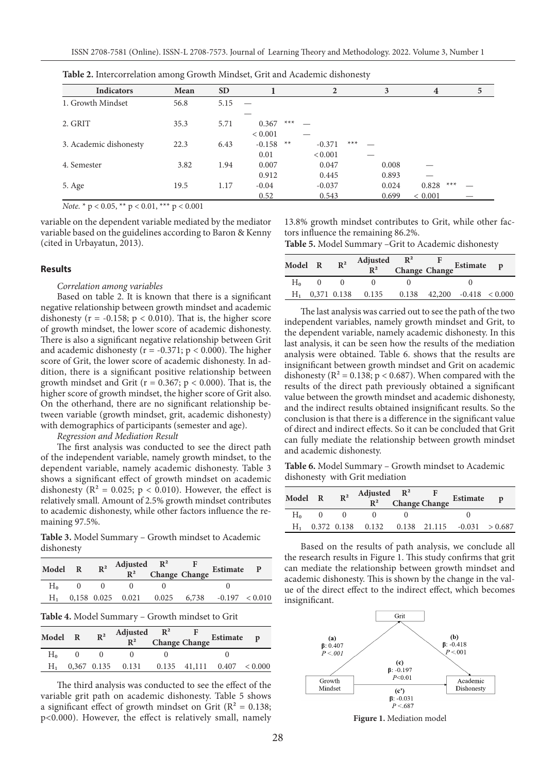|                        | ັ    |           |                  |                   |       |                         |   |
|------------------------|------|-----------|------------------|-------------------|-------|-------------------------|---|
| <b>Indicators</b>      | Mean | <b>SD</b> |                  | $\overline{2}$    | 3     | $\overline{\mathbf{4}}$ | 5 |
| 1. Growth Mindset      | 56.8 | 5.15      |                  |                   |       |                         |   |
|                        |      |           |                  |                   |       |                         |   |
| 2. GRIT                | 35.3 | 5.71      | $***$<br>0.367   |                   |       |                         |   |
|                        |      |           | ${}< 0.001$      |                   |       |                         |   |
| 3. Academic dishonesty | 22.3 | 6.43      | $**$<br>$-0.158$ | $***$<br>$-0.371$ |       |                         |   |
|                        |      |           | 0.01             | < 0.001           |       |                         |   |
| 4. Semester            | 3.82 | 1.94      | 0.007            | 0.047             | 0.008 |                         |   |
|                        |      |           | 0.912            | 0.445             | 0.893 |                         |   |
| 5. Age                 | 19.5 | 1.17      | $-0.04$          | $-0.037$          | 0.024 | $***$<br>0.828          |   |
|                        |      |           | 0.52             | 0.543             | 0.699 | ${}< 0.001$             |   |

**Table 2.** Intercorrelation among Growth Mindset, Grit and Academic dishonesty

*Note.*  $* p < 0.05$ ,  $** p < 0.01$ ,  $*** p < 0.001$ 

variable on the dependent variable mediated by the mediator variable based on the guidelines according to Baron & Kenny (cited in Urbayatun, 2013).

#### **Results**

#### *Correlation among variables*

Based on table 2. It is known that there is a significant negative relationship between growth mindset and academic dishonesty ( $r = -0.158$ ;  $p < 0.010$ ). That is, the higher score of growth mindset, the lower score of academic dishonesty. There is also a significant negative relationship between Grit and academic dishonesty ( $r = -0.371$ ;  $p < 0.000$ ). The higher score of Grit, the lower score of academic dishonesty. In addition, there is a significant positive relationship between growth mindset and Grit ( $r = 0.367$ ;  $p < 0.000$ ). That is, the higher score of growth mindset, the higher score of Grit also. On the otherhand, there are no significant relationship between variable (growth mindset, grit, academic dishonesty) with demographics of participants (semester and age).

*Regression and Mediation Result*

The first analysis was conducted to see the direct path of the independent variable, namely growth mindset, to the dependent variable, namely academic dishonesty. Table 3 shows a significant effect of growth mindset on academic dishonesty ( $\mathbb{R}^2 = 0.025$ ;  $p < 0.010$ ). However, the effect is relatively small. Amount of 2.5% growth mindset contributes to academic dishonesty, while other factors influence the remaining 97.5%.

**Table 3.** Model Summary – Growth mindset to Academic dishonesty

| Model R |                | $R^2$ Adjusted $R^2$ F<br>$R^2$ Change Change              |  | Estimate P |  |
|---------|----------------|------------------------------------------------------------|--|------------|--|
| $H_0$   | $\overline{0}$ |                                                            |  |            |  |
| Н,      |                | $0,158$ $0.025$ $0.021$ $0.025$ $6,738$ $-0.197$ $< 0.010$ |  |            |  |
|         |                | Table 4. Model Summary - Growth mindset to Grit            |  |            |  |
| Model R |                | $R^2$ Adjusted $R^2$ F<br>$R^2$ Change Change Estimate     |  |            |  |

| Model R | $\mathbb{R}^2$ | $R^2$ Change Change Estimate p                     |  |  |
|---------|----------------|----------------------------------------------------|--|--|
| H٠      |                |                                                    |  |  |
|         |                | $H_1$ 0,367 0.135 0.131 0.135 41,111 0.407 < 0.000 |  |  |

The third analysis was conducted to see the effect of the variable grit path on academic dishonesty. Table 5 shows a significant effect of growth mindset on Grit ( $\mathbb{R}^2 = 0.138$ ; p<0.000). However, the effect is relatively small, namely

13.8% growth mindset contributes to Grit, while other factors influence the remaining 86.2%.

**Table 5.** Model Summary –Grit to Academic dishonesty

| Model R | $\mathbb{R}^2$ | Adjusted $R^2$ F<br>$R^2$ Change Change Estimate p  |  |  |
|---------|----------------|-----------------------------------------------------|--|--|
| $H_0$   |                |                                                     |  |  |
|         |                | $H_1$ 0,371 0.138 0.135 0.138 42,200 -0.418 < 0.000 |  |  |

The last analysis was carried out to see the path of the two independent variables, namely growth mindset and Grit, to the dependent variable, namely academic dishonesty. In this last analysis, it can be seen how the results of the mediation analysis were obtained. Table 6. shows that the results are insignificant between growth mindset and Grit on academic dishonesty ( $R^2 = 0.138$ ;  $p < 0.687$ ). When compared with the results of the direct path previously obtained a significant value between the growth mindset and academic dishonesty, and the indirect results obtained insignificant results. So the conclusion is that there is a difference in the significant value of direct and indirect effects. So it can be concluded that Grit can fully mediate the relationship between growth mindset and academic dishonesty.

**Table 6.** Model Summary – Growth mindset to Academic dishonesty with Grit mediation

| Model R | $\mathbb{R}^2$ | Adjusted $R^2$ F<br>$R^2$ Change Change |  | Estimate                                            |  |
|---------|----------------|-----------------------------------------|--|-----------------------------------------------------|--|
| H۰      |                |                                         |  |                                                     |  |
|         |                |                                         |  | $H_1$ 0.372 0.138 0.132 0.138 21.115 -0.031 > 0.687 |  |

Based on the results of path analysis, we conclude all the research results in Figure 1. This study confirms that grit can mediate the relationship between growth mindset and academic dishonesty. This is shown by the change in the value of the direct effect to the indirect effect, which becomes insignificant.



**Figure 1.** Mediation model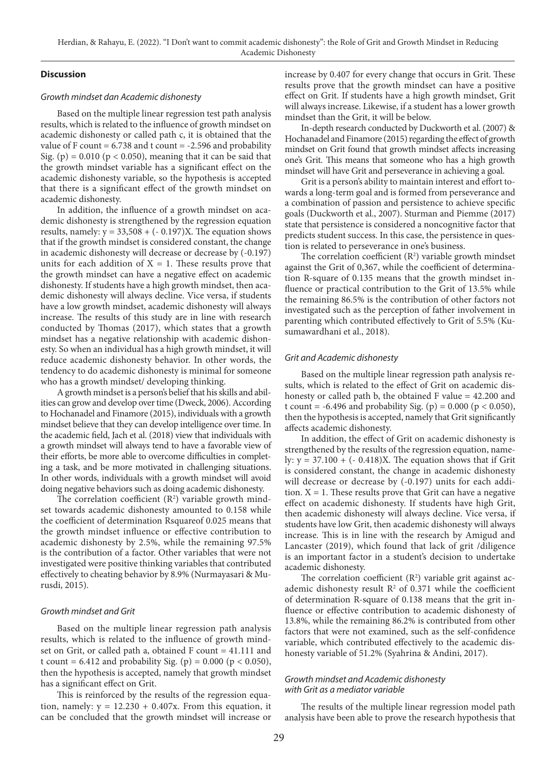## **Discussion**

#### *Growth mindset dan Academic dishonesty*

Based on the multiple linear regression test path analysis results, which is related to the influence of growth mindset on academic dishonesty or called path c, it is obtained that the value of F count =  $6.738$  and t count =  $-2.596$  and probability Sig. (p) =  $0.010$  (p <  $0.050$ ), meaning that it can be said that the growth mindset variable has a significant effect on the academic dishonesty variable, so the hypothesis is accepted that there is a significant effect of the growth mindset on academic dishonesty.

In addition, the influence of a growth mindset on academic dishonesty is strengthened by the regression equation results, namely:  $y = 33,508 + (-0.197)X$ . The equation shows that if the growth mindset is considered constant, the change in academic dishonesty will decrease or decrease by (-0.197) units for each addition of  $X = 1$ . These results prove that the growth mindset can have a negative effect on academic dishonesty. If students have a high growth mindset, then academic dishonesty will always decline. Vice versa, if students have a low growth mindset, academic dishonesty will always increase. The results of this study are in line with research conducted by Thomas (2017), which states that a growth mindset has a negative relationship with academic dishonesty. So when an individual has a high growth mindset, it will reduce academic dishonesty behavior. In other words, the tendency to do academic dishonesty is minimal for someone who has a growth mindset/ developing thinking.

A growth mindset is a person's belief that his skills and abilities can grow and develop over time (Dweck, 2006). According to Hochanadel and Finamore (2015), individuals with a growth mindset believe that they can develop intelligence over time. In the academic field, Jach et al. (2018) view that individuals with a growth mindset will always tend to have a favorable view of their efforts, be more able to overcome difficulties in completing a task, and be more motivated in challenging situations. In other words, individuals with a growth mindset will avoid doing negative behaviors such as doing academic dishonesty.

The correlation coefficient  $(R^2)$  variable growth mindset towards academic dishonesty amounted to 0.158 while the coefficient of determination Rsquareof 0.025 means that the growth mindset influence or effective contribution to academic dishonesty by 2.5%, while the remaining 97.5% is the contribution of a factor. Other variables that were not investigated were positive thinking variables that contributed effectively to cheating behavior by 8.9% (Nurmayasari & Murusdi, 2015).

### *Growth mindset and Grit*

Based on the multiple linear regression path analysis results, which is related to the influence of growth mindset on Grit, or called path a, obtained F count = 41.111 and t count = 6.412 and probability Sig. (p) =  $0.000$  (p <  $0.050$ ), then the hypothesis is accepted, namely that growth mindset has a significant effect on Grit.

This is reinforced by the results of the regression equation, namely:  $y = 12.230 + 0.407x$ . From this equation, it can be concluded that the growth mindset will increase or increase by 0.407 for every change that occurs in Grit. These results prove that the growth mindset can have a positive effect on Grit. If students have a high growth mindset, Grit will always increase. Likewise, if a student has a lower growth mindset than the Grit, it will be below.

In-depth research conducted by Duckworth et al. (2007) & Hochanadel and Finamore (2015) regarding the effect of growth mindset on Grit found that growth mindset affects increasing one's Grit. This means that someone who has a high growth mindset will have Grit and perseverance in achieving a goal.

Grit is a person's ability to maintain interest and effort towards a long-term goal and is formed from perseverance and a combination of passion and persistence to achieve specific goals (Duckworth et al., 2007). Sturman and Piemme (2017) state that persistence is considered a noncognitive factor that predicts student success. In this case, the persistence in question is related to perseverance in one's business.

The correlation coefficient  $(R^2)$  variable growth mindset against the Grit of 0,367, while the coefficient of determination R-square of 0.135 means that the growth mindset influence or practical contribution to the Grit of 13.5% while the remaining 86.5% is the contribution of other factors not investigated such as the perception of father involvement in parenting which contributed effectively to Grit of 5.5% (Kusumawardhani et al., 2018).

## *Grit and Academic dishonesty*

Based on the multiple linear regression path analysis results, which is related to the effect of Grit on academic dishonesty or called path b, the obtained F value = 42.200 and t count = -6.496 and probability Sig. (p) =  $0.000$  (p <  $0.050$ ), then the hypothesis is accepted, namely that Grit significantly affects academic dishonesty.

In addition, the effect of Grit on academic dishonesty is strengthened by the results of the regression equation, namely:  $y = 37.100 + (-0.418)X$ . The equation shows that if Grit is considered constant, the change in academic dishonesty will decrease or decrease by (-0.197) units for each addition.  $X = 1$ . These results prove that Grit can have a negative effect on academic dishonesty. If students have high Grit, then academic dishonesty will always decline. Vice versa, if students have low Grit, then academic dishonesty will always increase. This is in line with the research by Amigud and Lancaster (2019), which found that lack of grit /diligence is an important factor in a student's decision to undertake academic dishonesty.

The correlation coefficient  $(R^2)$  variable grit against academic dishonesty result  $R^2$  of 0.371 while the coefficient of determination R-square of 0.138 means that the grit influence or effective contribution to academic dishonesty of 13.8%, while the remaining 86.2% is contributed from other factors that were not examined, such as the self-confidence variable, which contributed effectively to the academic dishonesty variable of 51.2% (Syahrina & Andini, 2017).

# *Growth mindset and Academic dishonesty with Grit as a mediator variable*

The results of the multiple linear regression model path analysis have been able to prove the research hypothesis that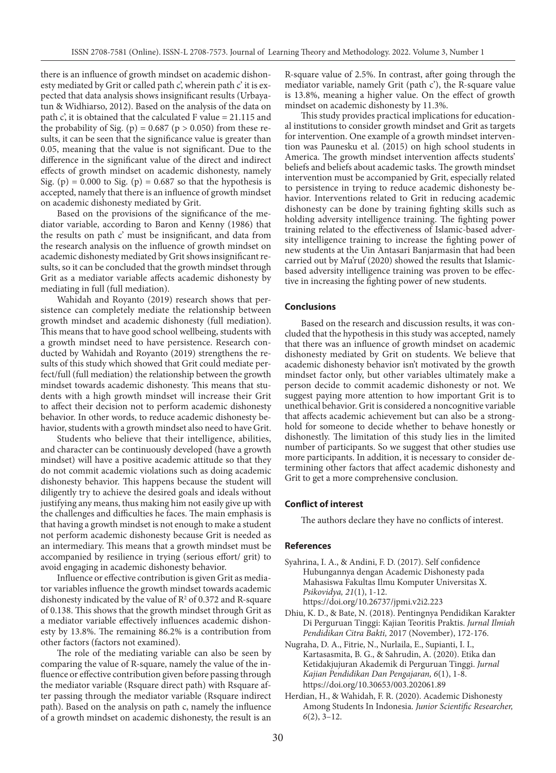there is an influence of growth mindset on academic dishonesty mediated by Grit or called path c', wherein path c' it is expected that data analysis shows insignificant results (Urbayatun & Widhiarso, 2012). Based on the analysis of the data on path c', it is obtained that the calculated F value = 21.115 and the probability of Sig. (p) =  $0.687$  (p >  $0.050$ ) from these results, it can be seen that the significance value is greater than 0.05, meaning that the value is not significant. Due to the difference in the significant value of the direct and indirect effects of growth mindset on academic dishonesty, namely Sig. (p) =  $0.000$  to Sig. (p) =  $0.687$  so that the hypothesis is accepted, namely that there is an influence of growth mindset on academic dishonesty mediated by Grit.

Based on the provisions of the significance of the mediator variable, according to Baron and Kenny (1986) that the results on path c' must be insignificant, and data from the research analysis on the influence of growth mindset on academic dishonesty mediated by Grit shows insignificant results, so it can be concluded that the growth mindset through Grit as a mediator variable affects academic dishonesty by mediating in full (full mediation).

Wahidah and Royanto (2019) research shows that persistence can completely mediate the relationship between growth mindset and academic dishonesty (full mediation). This means that to have good school wellbeing, students with a growth mindset need to have persistence. Research conducted by Wahidah and Royanto (2019) strengthens the results of this study which showed that Grit could mediate perfect/full (full mediation) the relationship between the growth mindset towards academic dishonesty. This means that students with a high growth mindset will increase their Grit to affect their decision not to perform academic dishonesty behavior. In other words, to reduce academic dishonesty behavior, students with a growth mindset also need to have Grit.

Students who believe that their intelligence, abilities, and character can be continuously developed (have a growth mindset) will have a positive academic attitude so that they do not commit academic violations such as doing academic dishonesty behavior. This happens because the student will diligently try to achieve the desired goals and ideals without justifying any means, thus making him not easily give up with the challenges and difficulties he faces. The main emphasis is that having a growth mindset is not enough to make a student not perform academic dishonesty because Grit is needed as an intermediary. This means that a growth mindset must be accompanied by resilience in trying (serious effort/ grit) to avoid engaging in academic dishonesty behavior.

Influence or effective contribution is given Grit as mediator variables influence the growth mindset towards academic dishonesty indicated by the value of  $\mathbb{R}^2$  of 0.372 and R-square of 0.138. This shows that the growth mindset through Grit as a mediator variable effectively influences academic dishonesty by 13.8%. The remaining 86.2% is a contribution from other factors (factors not examined).

The role of the mediating variable can also be seen by comparing the value of R-square, namely the value of the influence or effective contribution given before passing through the mediator variable (Rsquare direct path) with Rsquare after passing through the mediator variable (Rsquare indirect path). Based on the analysis on path c, namely the influence of a growth mindset on academic dishonesty, the result is an

R-square value of 2.5%. In contrast, after going through the mediator variable, namely Grit (path c'), the R-square value is 13.8%, meaning a higher value. On the effect of growth mindset on academic dishonesty by 11.3%.

This study provides practical implications for educational institutions to consider growth mindset and Grit as targets for intervention. One example of a growth mindset intervention was Paunesku et al. (2015) on high school students in America. The growth mindset intervention affects students' beliefs and beliefs about academic tasks. The growth mindset intervention must be accompanied by Grit, especially related to persistence in trying to reduce academic dishonesty behavior. Interventions related to Grit in reducing academic dishonesty can be done by training fighting skills such as holding adversity intelligence training. The fighting power training related to the effectiveness of Islamic-based adversity intelligence training to increase the fighting power of new students at the Uin Antasari Banjarmasin that had been carried out by Ma'ruf (2020) showed the results that Islamicbased adversity intelligence training was proven to be effective in increasing the fighting power of new students.

#### **Conclusions**

Based on the research and discussion results, it was concluded that the hypothesis in this study was accepted, namely that there was an influence of growth mindset on academic dishonesty mediated by Grit on students. We believe that academic dishonesty behavior isn't motivated by the growth mindset factor only, but other variables ultimately make a person decide to commit academic dishonesty or not. We suggest paying more attention to how important Grit is to unethical behavior. Grit is considered a noncognitive variable that affects academic achievement but can also be a stronghold for someone to decide whether to behave honestly or dishonestly. The limitation of this study lies in the limited number of participants. So we suggest that other studies use more participants. In addition, it is necessary to consider determining other factors that affect academic dishonesty and Grit to get a more comprehensive conclusion.

#### **Conflict of interest**

The authors declare they have no conflicts of interest.

## **References**

- Syahrina, I. A., & Andini, F. D. (2017). Self confidence Hubungannya dengan Academic Dishonesty pada Mahasiswa Fakultas Ilmu Komputer Universitas X. *Psikovidya, 21*(1), 1-12. https://doi.org/10.26737/jpmi.v2i2.223
- Dhiu, K. D., & Bate, N. (2018). Pentingnya Pendidikan Karakter Di Perguruan Tinggi: Kajian Teoritis Praktis. *Jurnal Ilmiah Pendidikan Citra Bakti,* 2017 (November), 172-176.
- Nugraha, D. A., Fitrie, N., Nurlaila, E., Supianti, I. I., Kartasasmita, B. G., & Sahrudin, A. (2020). Etika dan Ketidakjujuran Akademik di Perguruan Tinggi. *Jurnal Kajian Pendidikan Dan Pengajaran, 6*(1), 1-8. https://doi.org/10.30653/003.202061.89
- Herdian, H., & Wahidah, F. R. (2020). Academic Dishonesty Among Students In Indonesia. *Junior Scientific Researcher, 6*(2), 3–12.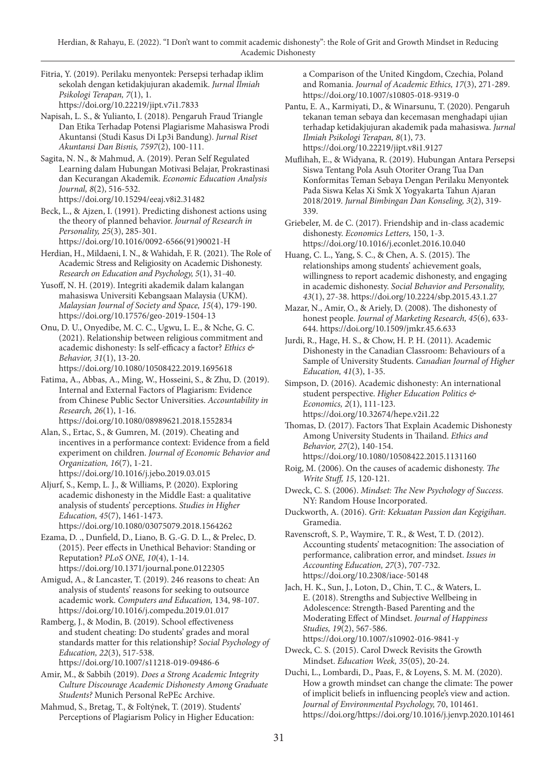Fitria, Y. (2019). Perilaku menyontek: Persepsi terhadap iklim sekolah dengan ketidakjujuran akademik. *Jurnal Ilmiah Psikologi Terapan, 7*(1), 1. https://doi.org/10.22219/jipt.v7i1.7833

Napisah, L. S., & Yulianto, I. (2018). Pengaruh Fraud Triangle Dan Etika Terhadap Potensi Plagiarisme Mahasiswa Prodi Akuntansi (Studi Kasus Di Lp3i Bandung). *Jurnal Riset Akuntansi Dan Bisnis, 7597*(2), 100-111.

Sagita, N. N., & Mahmud, A. (2019). Peran Self Regulated Learning dalam Hubungan Motivasi Belajar, Prokrastinasi dan Kecurangan Akademik. *Economic Education Analysis Journal, 8*(2), 516-532. https://doi.org/10.15294/eeaj.v8i2.31482

Beck, L., & Ajzen, I. (1991). Predicting dishonest actions using the theory of planned behavior. *Journal of Research in Personality, 25*(3), 285-301. https://doi.org/10.1016/0092-6566(91)90021-H

Herdian, H., Mildaeni, I. N., & Wahidah, F. R. (2021). The Role of Academic Stress and Religiosity on Academic Dishonesty. *Research on Education and Psychology, 5*(1), 31-40.

Yusoff, N. H. (2019). Integriti akademik dalam kalangan mahasiswa Universiti Kebangsaan Malaysia (UKM). *Malaysian Journal of Society and Space, 15*(4), 179-190. https://doi.org/10.17576/geo-2019-1504-13

Onu, D. U., Onyedibe, M. C. C., Ugwu, L. E., & Nche, G. C. (2021). Relationship between religious commitment and academic dishonesty: Is self-efficacy a factor? *Ethics & Behavior, 31*(1), 13-20. https://doi.org/10.1080/10508422.2019.1695618

Fatima, A., Abbas, A., Ming, W., Hosseini, S., & Zhu, D. (2019). Internal and External Factors of Plagiarism: Evidence from Chinese Public Sector Universities. *Accountability in Research, 26*(1), 1-16.

https://doi.org/10.1080/08989621.2018.1552834

Alan, S., Ertac, S., & Gumren, M. (2019). Cheating and incentives in a performance context: Evidence from a field experiment on children. *Journal of Economic Behavior and Organization, 16*(7), 1-21. https://doi.org/10.1016/j.jebo.2019.03.015

Aljurf, S., Kemp, L. J., & Williams, P. (2020). Exploring academic dishonesty in the Middle East: a qualitative analysis of students' perceptions. *Studies in Higher Education, 45*(7), 1461-1473. https://doi.org/10.1080/03075079.2018.1564262

Ezama, D. ., Dunfield, D., Liano, B. G.-G. D. L., & Prelec, D. (2015). Peer effects in Unethical Behavior: Standing or Reputation? *PLoS ONE, 10*(4), 1-14. https://doi.org/10.1371/journal.pone.0122305

Amigud, A., & Lancaster, T. (2019). 246 reasons to cheat: An analysis of students' reasons for seeking to outsource academic work. *Computers and Education,* 134, 98-107. https://doi.org/10.1016/j.compedu.2019.01.017

Ramberg, J., & Modin, B. (2019). School effectiveness and student cheating: Do students' grades and moral standards matter for this relationship? *Social Psychology of Education, 22*(3), 517-538.

https://doi.org/10.1007/s11218-019-09486-6

Amir, M., & Sabbih (2019). *Does a Strong Academic Integrity Culture Discourage Academic Dishonesty Among Graduate Students?* Munich Personal RePEc Archive.

Mahmud, S., Bretag, T., & Foltýnek, T. (2019). Students' Perceptions of Plagiarism Policy in Higher Education: a Comparison of the United Kingdom, Czechia, Poland and Romania. *Journal of Academic Ethics, 17*(3), 271-289. https://doi.org/10.1007/s10805-018-9319-0

Pantu, E. A., Karmiyati, D., & Winarsunu, T. (2020). Pengaruh tekanan teman sebaya dan kecemasan menghadapi ujian terhadap ketidakjujuran akademik pada mahasiswa. *Jurnal Ilmiah Psikologi Terapan, 8*(1), 73. https://doi.org/10.22219/jipt.v8i1.9127

Muflihah, E., & Widyana, R. (2019). Hubungan Antara Persepsi Siswa Tentang Pola Asuh Otoriter Orang Tua Dan Konformitas Teman Sebaya Dengan Perilaku Menyontek Pada Siswa Kelas Xi Smk X Yogyakarta Tahun Ajaran 2018/2019. *Jurnal Bimbingan Dan Konseling, 3*(2), 319- 339.

Griebeler, M. de C. (2017). Friendship and in-class academic dishonesty. *Economics Letters,* 150, 1-3. https://doi.org/10.1016/j.econlet.2016.10.040

Huang, C. L., Yang, S. C., & Chen, A. S. (2015). The relationships among students' achievement goals, willingness to report academic dishonesty, and engaging in academic dishonesty. *Social Behavior and Personality, 43*(1), 27-38. https://doi.org/10.2224/sbp.2015.43.1.27

Mazar, N., Amir, O., & Ariely, D. (2008). The dishonesty of honest people. *Journal of Marketing Research, 45*(6), 633- 644. https://doi.org/10.1509/jmkr.45.6.633

Jurdi, R., Hage, H. S., & Chow, H. P. H. (2011). Academic Dishonesty in the Canadian Classroom: Behaviours of a Sample of University Students. *Canadian Journal of Higher Education, 41*(3), 1-35.

Simpson, D. (2016). Academic dishonesty: An international student perspective. *Higher Education Politics & Economics, 2*(1), 111-123. https://doi.org/10.32674/hepe.v2i1.22

Thomas, D. (2017). Factors That Explain Academic Dishonesty Among University Students in Thailand. *Ethics and Behavior, 27*(2), 140-154. https://doi.org/10.1080/10508422.2015.1131160

Roig, M. (2006). On the causes of academic dishonesty. *The Write Stuff, 15*, 120-121.

Dweck, C. S. (2006). *Mindset: The New Psychology of Success.* NY: Random House Incorporated.

Duckworth, A. (2016). *Grit: Kekuatan Passion dan Kegigihan*. Gramedia.

Ravenscroft, S. P., Waymire, T. R., & West, T. D. (2012). Accounting students' metacognition: The association of performance, calibration error, and mindset. *Issues in Accounting Education, 27*(3), 707-732. https://doi.org/10.2308/iace-50148

Jach, H. K., Sun, J., Loton, D., Chin, T. C., & Waters, L. E. (2018). Strengths and Subjective Wellbeing in Adolescence: Strength-Based Parenting and the Moderating Effect of Mindset. *Journal of Happiness Studies, 19*(2), 567-586. https://doi.org/10.1007/s10902-016-9841-y

Dweck, C. S. (2015). Carol Dweck Revisits the Growth Mindset. *Education Week, 35*(05), 20-24.

Duchi, L., Lombardi, D., Paas, F., & Loyens, S. M. M. (2020). How a growth mindset can change the climate: The power of implicit beliefs in influencing people's view and action. *Journal of Environmental Psychology,* 70, 101461. https://doi.org/https://doi.org/10.1016/j.jenvp.2020.101461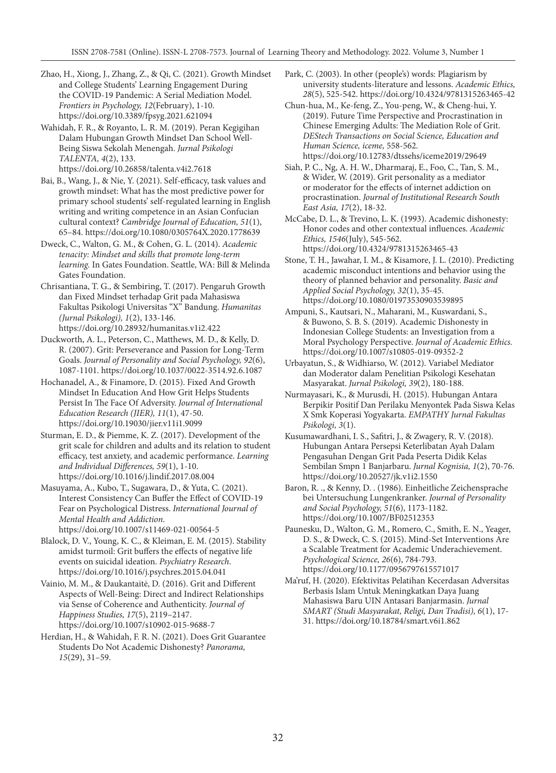Zhao, H., Xiong, J., Zhang, Z., & Qi, C. (2021). Growth Mindset and College Students' Learning Engagement During the COVID-19 Pandemic: A Serial Mediation Model. *Frontiers in Psychology, 12*(February), 1-10. https://doi.org/10.3389/fpsyg.2021.621094

Wahidah, F. R., & Royanto, L. R. M. (2019). Peran Kegigihan Dalam Hubungan Growth Mindset Dan School Well-Being Siswa Sekolah Menengah. *Jurnal Psikologi TALENTA, 4*(2), 133. https://doi.org/10.26858/talenta.v4i2.7618

Bai, B., Wang, J., & Nie, Y. (2021). Self-efficacy, task values and growth mindset: What has the most predictive power for primary school students' self-regulated learning in English writing and writing competence in an Asian Confucian cultural context? *Cambridge Journal of Education, 51*(1), 65–84. https://doi.org/10.1080/0305764X.2020.1778639

Dweck, C., Walton, G. M., & Cohen, G. L. (2014). *Academic tenacity: Mindset and skills that promote long-term learning.* In Gates Foundation. Seattle, WA: Bill & Melinda Gates Foundation.

Chrisantiana, T. G., & Sembiring, T. (2017). Pengaruh Growth dan Fixed Mindset terhadap Grit pada Mahasiswa Fakultas Psikologi Universitas "X" Bandung. *Humanitas (Jurnal Psikologi), 1*(2), 133-146. https://doi.org/10.28932/humanitas.v1i2.422

Duckworth, A. L., Peterson, C., Matthews, M. D., & Kelly, D. R. (2007). Grit: Perseverance and Passion for Long-Term Goals. *Journal of Personality and Social Psychology, 92*(6), 1087-1101. https://doi.org/10.1037/0022-3514.92.6.1087

Hochanadel, A., & Finamore, D. (2015). Fixed And Growth Mindset In Education And How Grit Helps Students Persist In The Face Of Adversity. *Journal of International Education Research (JIER), 11*(1), 47-50. https://doi.org/10.19030/jier.v11i1.9099

Sturman, E. D., & Piemme, K. Z. (2017). Development of the grit scale for children and adults and its relation to student efficacy, test anxiety, and academic performance. *Learning and Individual Differences, 59*(1), 1-10. https://doi.org/10.1016/j.lindif.2017.08.004

Masuyama, A., Kubo, T., Sugawara, D., & Yuta, C. (2021). Interest Consistency Can Buffer the Effect of COVID-19 Fear on Psychological Distress. *International Journal of Mental Health and Addiction*. https://doi.org/10.1007/s11469-021-00564-5

Blalock, D. V., Young, K. C., & Kleiman, E. M. (2015). Stability amidst turmoil: Grit buffers the effects of negative life events on suicidal ideation. *Psychiatry Research*. https://doi.org/10.1016/j.psychres.2015.04.041

Vainio, M. M., & Daukantaitė, D. (2016). Grit and Different Aspects of Well-Being: Direct and Indirect Relationships via Sense of Coherence and Authenticity. *Journal of Happiness Studies, 17*(5), 2119–2147. https://doi.org/10.1007/s10902-015-9688-7

Herdian, H., & Wahidah, F. R. N. (2021). Does Grit Guarantee Students Do Not Academic Dishonesty? *Panorama, 15*(29), 31–59.

Park, C. (2003). In other (people's) words: Plagiarism by university students-literature and lessons. *Academic Ethics, 28*(5), 525-542. https://doi.org/10.4324/9781315263465-42

Chun-hua, M., Ke-feng, Z., You-peng, W., & Cheng-hui, Y. (2019). Future Time Perspective and Procrastination in Chinese Emerging Adults: The Mediation Role of Grit. *DEStech Transactions on Social Science, Education and Human Science, iceme,* 558-562. https://doi.org/10.12783/dtssehs/iceme2019/29649

Siah, P. C., Ng, A. H. W., Dharmaraj, E., Foo, C., Tan, S. M., & Wider, W. (2019). Grit personality as a mediator or moderator for the effects of internet addiction on procrastination. *Journal of Institutional Research South East Asia, 17*(2), 18-32.

McCabe, D. L., & Trevino, L. K. (1993). Academic dishonesty: Honor codes and other contextual influences. *Academic Ethics, 1546*(July), 545-562. https://doi.org/10.4324/9781315263465-43

Stone, T. H., Jawahar, I. M., & Kisamore, J. L. (2010). Predicting academic misconduct intentions and behavior using the theory of planned behavior and personality. *Basic and Applied Social Psychology, 32*(1), 35-45. https://doi.org/10.1080/01973530903539895

Ampuni, S., Kautsari, N., Maharani, M., Kuswardani, S., & Buwono, S. B. S. (2019). Academic Dishonesty in Indonesian College Students: an Investigation from a Moral Psychology Perspective. *Journal of Academic Ethics.* https://doi.org/10.1007/s10805-019-09352-2

Urbayatun, S., & Widhiarso, W. (2012). Variabel Mediator dan Moderator dalam Penelitian Psikologi Kesehatan Masyarakat. *Jurnal Psikologi, 39*(2), 180-188.

Nurmayasari, K., & Murusdi, H. (2015). Hubungan Antara Berpikir Positif Dan Perilaku Menyontek Pada Siswa Kelas X Smk Koperasi Yogyakarta. *EMPATHY Jurnal Fakultas Psikologi, 3*(1).

Kusumawardhani, I. S., Safitri, J., & Zwagery, R. V. (2018). Hubungan Antara Persepsi Keterlibatan Ayah Dalam Pengasuhan Dengan Grit Pada Peserta Didik Kelas Sembilan Smpn 1 Banjarbaru. *Jurnal Kognisia, 1*(2), 70-76. https://doi.org/10.20527/jk.v1i2.1550

Baron, R. ., & Kenny, D. . (1986). Einheitliche Zeichensprache bei Untersuchung Lungenkranker. *Journal of Personality and Social Psychology, 51*(6), 1173-1182. https://doi.org/10.1007/BF02512353

Paunesku, D., Walton, G. M., Romero, C., Smith, E. N., Yeager, D. S., & Dweck, C. S. (2015). Mind-Set Interventions Are a Scalable Treatment for Academic Underachievement. *Psychological Science, 26*(6), 784-793. https://doi.org/10.1177/0956797615571017

Ma'ruf, H. (2020). Efektivitas Pelatihan Kecerdasan Adversitas Berbasis Islam Untuk Meningkatkan Daya Juang Mahasiswa Baru UIN Antasari Banjarmasin. *Jurnal SMART (Studi Masyarakat, Religi, Dan Tradisi), 6*(1), 17- 31. https://doi.org/10.18784/smart.v6i1.862